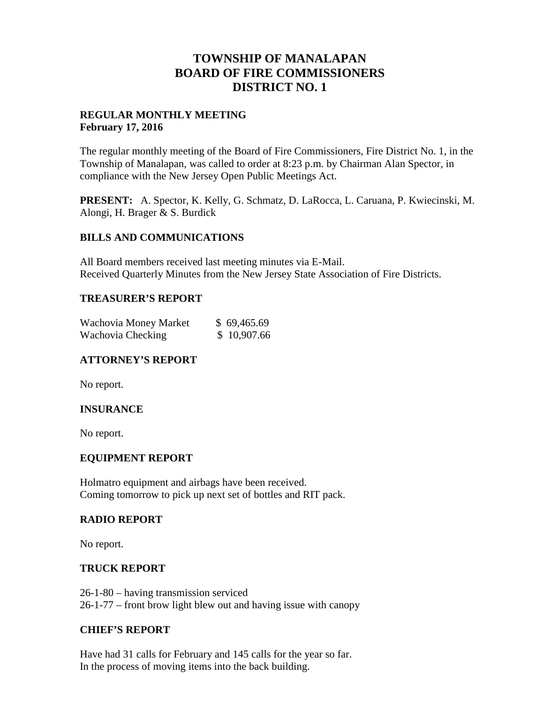## **TOWNSHIP OF MANALAPAN BOARD OF FIRE COMMISSIONERS DISTRICT NO. 1**

## **REGULAR MONTHLY MEETING February 17, 2016**

The regular monthly meeting of the Board of Fire Commissioners, Fire District No. 1, in the Township of Manalapan, was called to order at 8:23 p.m. by Chairman Alan Spector, in compliance with the New Jersey Open Public Meetings Act.

**PRESENT:** A. Spector, K. Kelly, G. Schmatz, D. LaRocca, L. Caruana, P. Kwiecinski, M. Alongi, H. Brager & S. Burdick

#### **BILLS AND COMMUNICATIONS**

All Board members received last meeting minutes via E-Mail. Received Quarterly Minutes from the New Jersey State Association of Fire Districts.

## **TREASURER'S REPORT**

| Wachovia Money Market | \$69,465.69 |
|-----------------------|-------------|
| Wachovia Checking     | \$10,907.66 |

## **ATTORNEY'S REPORT**

No report.

#### **INSURANCE**

No report.

#### **EQUIPMENT REPORT**

Holmatro equipment and airbags have been received. Coming tomorrow to pick up next set of bottles and RIT pack.

#### **RADIO REPORT**

No report.

#### **TRUCK REPORT**

26-1-80 – having transmission serviced 26-1-77 – front brow light blew out and having issue with canopy

#### **CHIEF'S REPORT**

Have had 31 calls for February and 145 calls for the year so far. In the process of moving items into the back building.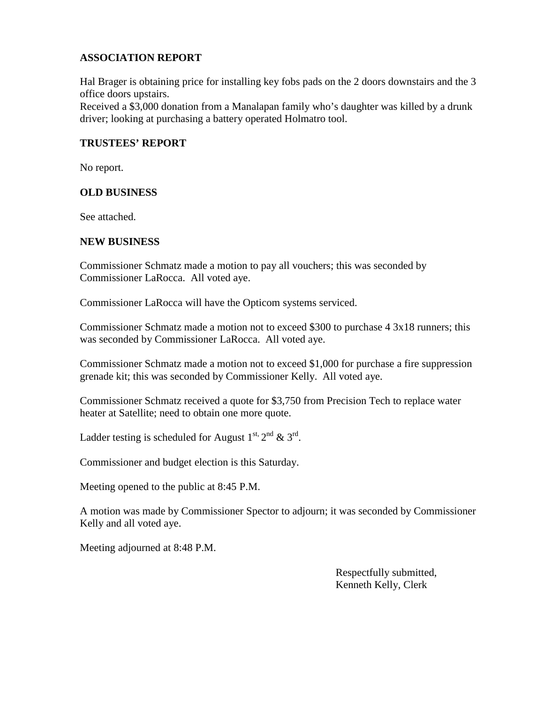## **ASSOCIATION REPORT**

Hal Brager is obtaining price for installing key fobs pads on the 2 doors downstairs and the 3 office doors upstairs.

Received a \$3,000 donation from a Manalapan family who's daughter was killed by a drunk driver; looking at purchasing a battery operated Holmatro tool.

## **TRUSTEES' REPORT**

No report.

#### **OLD BUSINESS**

See attached.

#### **NEW BUSINESS**

Commissioner Schmatz made a motion to pay all vouchers; this was seconded by Commissioner LaRocca. All voted aye.

Commissioner LaRocca will have the Opticom systems serviced.

Commissioner Schmatz made a motion not to exceed \$300 to purchase 4 3x18 runners; this was seconded by Commissioner LaRocca. All voted aye.

Commissioner Schmatz made a motion not to exceed \$1,000 for purchase a fire suppression grenade kit; this was seconded by Commissioner Kelly. All voted aye.

Commissioner Schmatz received a quote for \$3,750 from Precision Tech to replace water heater at Satellite; need to obtain one more quote.

Ladder testing is scheduled for August  $1^{\text{st}}$ ,  $2^{\text{nd}}$  &  $3^{\text{rd}}$ .

Commissioner and budget election is this Saturday.

Meeting opened to the public at 8:45 P.M.

A motion was made by Commissioner Spector to adjourn; it was seconded by Commissioner Kelly and all voted aye.

Meeting adjourned at 8:48 P.M.

Respectfully submitted, Kenneth Kelly, Clerk